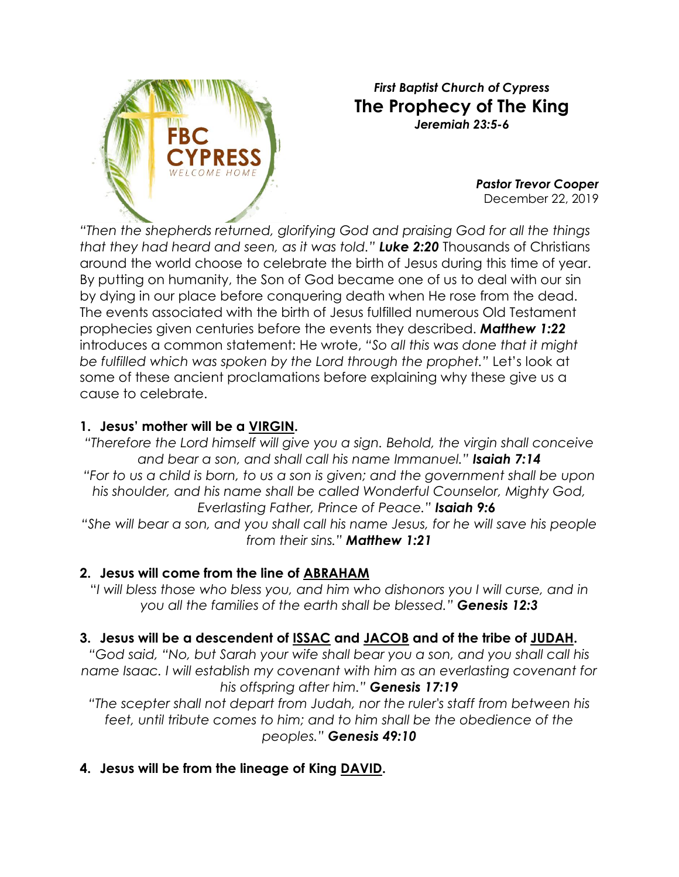

#### *First Baptist Church of Cypress* **The Prophecy of The King** *Jeremiah 23:5-6*

*Pastor Trevor Cooper* December 22, 2019

*"Then the shepherds returned, glorifying God and praising God for all the things that they had heard and seen, as it was told." [Luke 2:20](http://biblia.com/bible/nkjv/Luke%202.20)* Thousands of Christians around the world choose to celebrate the birth of Jesus during this time of year. By putting on humanity, the Son of God became one of us to deal with our sin by dying in our place before conquering death when He rose from the dead. The events associated with the birth of Jesus fulfilled numerous Old Testament prophecies given centuries before the events they described. *[Matthew 1:22](http://biblia.com/bible/nkjv/Matthew%201.22)* introduces a common statement: He wrote, *"So all this was done that it might be fulfilled which was spoken by the Lord through the prophet."* Let's look at some of these ancient proclamations before explaining why these give us a cause to celebrate.

### **1. Jesus' mother will be a VIRGIN.**

*"Therefore the Lord himself will give you a sign. Behold, the virgin shall conceive and bear a son, and shall call his name Immanuel." Isaiah 7:14 "For to us a child is born, to us a son is given; and the government shall be upon his shoulder, and his name shall be called Wonderful Counselor, Mighty God, Everlasting Father, Prince of Peace." Isaiah 9:6*

*"She will bear a son, and you shall call his name Jesus, for he will save his people from their sins." [Matthew 1:21](http://biblia.com/bible/nkjv/Matthew%201.21)*

#### **2. Jesus will come from the line of ABRAHAM**

"*I will bless those who bless you, and him who dishonors you I will curse, and in you all the families of the earth shall be blessed." Genesis 12:3*

## **3. Jesus will be a descendent of ISSAC and JACOB and of the tribe of JUDAH.**

*"God said, "No, but Sarah your wife shall bear you a son, and you shall call his name Isaac. I will establish my covenant with him as an everlasting covenant for his offspring after him." Genesis 17:19*

*"The scepter shall not depart from Judah, nor the ruler's staff from between his feet, until tribute comes to him; and to him shall be the obedience of the peoples." Genesis 49:10*

## **4. Jesus will be from the lineage of King DAVID.**